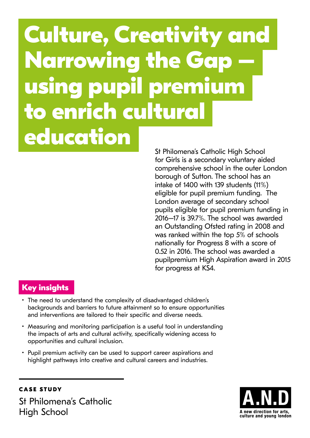# **Culture, Creativity and Narrowing the Gap – using pupil premium to enrich cultural education**

St Philomena's Catholic High School for Girls is a secondary voluntary aided comprehensive school in the outer London borough of Sutton. The school has an intake of 1400 with 139 students (11%) eligible for pupil premium funding. The London average of secondary school pupils eligible for pupil premium funding in 2016–17 is 39.7%. The school was awarded an Outstanding Ofsted rating in 2008 and was ranked within the top 5% of schools nationally for Progress 8 with a score of 0.52 in 2016. The school was awarded a pupilpremium High Aspiration award in 2015 for progress at KS4.

## **Key insights**

- The need to understand the complexity of disadvantaged children's backgrounds and barriers to future attainment so to ensure opportunities and interventions are tailored to their specific and diverse needs.
- Measuring and monitoring participation is a useful tool in understanding the impacts of arts and cultural activity, specifically widening access to opportunities and cultural inclusion.
- Pupil premium activity can be used to support career aspirations and highlight pathways into creative and cultural careers and industries.

#### **CASE STUDY**

St Philomena's Catholic High School

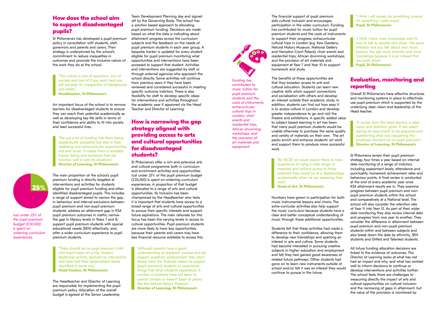#### **How does the school aim to support disadvantaged pupils?**

St Philomena's has developed a pupil premium policy in consultation with students, staff, governors and parents and carers. Their strategy is underpinned by the school's commitment to reduce inequalities in outcomes and promote the inclusive nature of the work they do at the school.

"The culture is one of aspiration, one of success and one of if you work hard you will succeed. It's irrespective of background and ability".

**Headteacher, St Philomena's**

An important focus of the school is to remove barriers for disadvantaged students to ensure they can reach their potential academically as well as developing key life skills in terms of their confidence and ability to fit into society and lead successful lives.

"We put a lot of funding into them being academically successful but also in their wellbeing and extracurricular opportunities, arts and music. It makes them a rounded human being and someone that can function well in real life situations". **Director of Learning, St Philomena's**



The main proportion of the school's pupil premium funding is directly targeted at interventions and activities for students eligible for pupil premium funding and other identified disadvantaged pupils. This includes a range of support aimed to narrow the gap in behaviour and internal exclusions between pupil premium and non-pupil premium students; address an attainment gap in KS4 pupil premium outcomes in maths; narrow the gap in literacy levels in Years 7 and 8; support pupil premium students with special educational needs (SEN) effectively; and, offer a wider curriculum experience to pupil premium students.

"There should be no pupil premium child who hasn't been on a trip, student leadership activity, received an intervention and have had their personalised needs identified in some way". **Head Teacher, St Philomena's**

The Headteacher and Director of Learning are responsible for implementing the pupil premium policy. Allocation of the overall budget is agreed at the Senior Leadership

Team Development Planning day and signed off by the Governing Body. The school has a solution based approach to allocating pupil premium funding. Decisions are made based on what the data is indicating about attainment progress across the curriculum subjects and the feedback on the needs of pupil premium students in each year group. A bespoke tracker is updated for every student eligible for pupil premium monitoring what opportunities and interventions have been accessed to support that student. Activities and interventions are suggested by staff or through external agencies who approach the school directly. Some activities will continue from previous years if they have been reviewed and considered successful in meeting specific outcome indictors. There is also flexibility for staff to develop specific ideas for interventions and activities throughout the academic year if approved via the Head Teacher and Director of Learning.

### **How is narrowing the gap strategy aligned with providing access to arts and cultural opportunities for disadvantaged students?**

St Philomena's offer a rich and extensive arts and cultural programme both in curriculum and enrichment activities and opportunities. Just under 25% of the pupil premium budget (£30,500) is spent on widening curriculum experiences. A proportion of that budget is allocated to a range of arts and cultural opportunities. Its inclusion has been championed by the Headteacher who feels it is important that students have access to a broad range of arts and cultural opportunities to pursue their specific interests and support future aspirations. The main rationale for this focus has been the varying levels in access to cultural opportunities. Pupil premium students are more likely to have less opportunities because their parents and carers may have less financial resource available to access this.

"Although parents have a good understanding of academic success and do support academic achievement, they don't always have the financial means to support [pupil premium] students to experience things that other students experience. A number of students have not been to central London or haven't been to places like the Natural History Museum". **Director of Learning, St Philomena's**



The financial support of pupil premium aids cultural inclusion and encourages participation in the wider curriculum. Funding has contributed to; music tuition for pupil premium students and the costs of instruments to support their progress; extracurricular cultural trips in London (e.g. Kew Gardens, Natural History Museum, National Gallery and Hampton Court Palace); choir events and residential trips; African drumming workshops; and the provision of art materials and equipment at Year 7 and Year 10 to support homework and study.

The benefits of these opportunities are that they broaden access to arts and cultural education. Students can learn new creative skills which support connections and socialisation with others and develop an interest outside their academic study. In addition, students can find out how easy it is to access culture in London and develop greater independence to go and visit the theatre and exhibitions. A specific added value to subject based learning in art has been that many pupil premium students would be unable otherwise to purchase the same quality and variety of materials on their own. The art packs enrich and enhance students' art work and support them to produce more successful work.

"By GCSE we would expect them to have experience of using a wide range of materials and without access to these materials they would be at a disadvantage academically when we are assessing their work". **Head of Art, St Philomena's**

Numbers have grown in participation for both music instrumental lessons and choirs. The extra-curricular activities also help support the music curriculum because students have a clear and better conceptual understanding of music through these additional opportunities.

Students felt that these activities had made a difference to their confidence, allowing them to develop new friendships and sparking an interest in arts and culture. Some students had become interested in pursuing creative subjects in higher education and employment and felt they had gained good awareness of related future pathways. Other students had gone on to learn new instruments outside of school and/or felt it was an interest they would continue to pursue in the future.

"I think I will always do something musical. It's something I really enjoy". **Pupil, St Philomena's**

"I think I have more knowledge and it's nice to talk to people who share the same interests and you talk about your music lessons. You get more diversity and more friendships because it is an interest that you both share".

**Pupil, St Philomena's**

#### **Evaluation, monitoring and reporting**

Overall St Philomena's have effective structures and monitoring systems in place to effectively use pupil premium which is supported by the underlying clear vision and leadership of the Head teacher.

"It comes from the head teacher, a clear vision and direction given. If she wasn't asking for documents to be prepared and questioning what was happening the emphasis wouldn't be on pupil premium". **Director of Learning, St Philomena's**

St Philomena review their pupil premium strategy four times a year based on internal data monitoring of a range of indictors including assessment levels, attendance and punctuality, homework achievement rates and behaviour points. A final review is conducted at the end of every academic year once KS4 attainment results are in. They examine progress between pupil premium and nonpupil premium students within the school and comparatively at a National level. The school will also consider the retention rate of Year 11 into Year 12. As part of their wider data monitoring they also review internal data and progress from one year to another. They consider the difference in attainment between pupil premium and non-pupil premium students within and between subjects and also break down the data by ethnicity, SEN students and Gifted and Talented students.

All future funding allocation decisions are linked to the evidence of outcomes. The Director of Learning looks at what has not had an impact and why, and what has worked well to inform decisions to continue or develop interventions and activities further. The school feels there are challenges to measuring directly the impact of arts and cultural opportunities on cultural inclusion and the narrowing of gaps in attainment, but the value of the provision is monitored by

*Funding has contributed to; music tuition for pupil premium students and the costs of instruments, extracurricular cultural trips in London, choir events and residential trips, African drumming workshops; and the provision of art materials and equipment.*

*Just under 25% of the pupil premium budget (£30,500) is spent on widening curriculum experiences.*